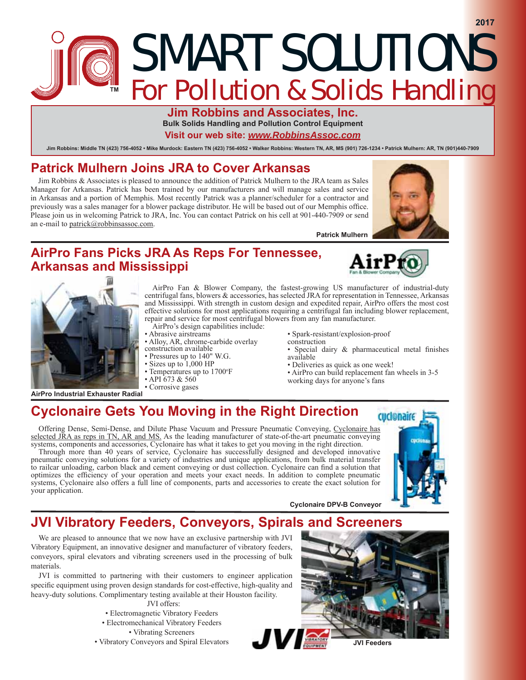# SMART SOLUTIONS **For Pollution & Solids Handling**

**Jim Robbins and Associates, Inc. Bulk Solids Handling and Pollution Control Equipment**

**Visit our web site:** *www.RobbinsAssoc.com*

Jim Robbins: Middle TN (423) 756-4052 · Mike Murdock: Eastern TN (423) 756-4052 · Walker Robbins: Western TN, AR, MS (901) 726-1234 · Patrick Mulhern: AR, TN (901)440-7909

#### **Patrick 0ulKern Joins JRA to CoYer Arkansas**

Jim Robbins & Associates is pleased to announce the addition of Patrick Mulhern to the JRA team as Sales Manager for Arkansas. Patrick has been trained by our manufacturers and will manage sales and service in Arkansas and a portion of Memphis. Most recently Patrick was a planner/scheduler for a contractor and previously was a sales manager for a blower package distributor. He will be based out of our Memphis office. Please join us in welcoming Patrick to JRA, Inc. You can contact Patrick on his cell at 901-440-7909 or send an e-mail to patrick@robbinsassoc.com.

**Patrick Mulhern** 

#### **AirPro Fans Picks JRA As Reps For Tennessee, Arkansas and Mississippi**



**2017**



**AirPro Industrial E[Kauster Radial**

- AirPro Fan & Blower Company, the fastest-growing US manufacturer of industrial-duty centrifugal fans, blowers & accessories, has selected JRA for representation in Tennessee, Arkansas and Mississippi. With strength in custom design and expedited repair, AirPro offers the most cost effective solutions for most applications requiring a centrifugal fan including blower replacement, repair and service for most centrifugal blowers from any fan manufacturer.
- AirPro's design capabilities include:
- Abrasive airstreams Alloy, AR, chrome-carbide overlay
- construction available
- Pressures up to 140" W.G.
- $\cdot$  Sizes up to  $1,000$  HP
- Temperatures up to 1700°F
- $\cdot$  API 673 & 560
- Corrosive gases
- Spark-resistant/explosion-proof
- construction
	- · Special dairy & pharmaceutical metal finishes available
	- Deliveries as quick as one week!
	- AirPro can build replacement fan wheels in 3-5
- working days for anyone's fans

**C\clonaire 'PVB ConYe\or**

### **Cyclonaire Gets You Moving in the Right Direction**

Offering Dense, Semi-Dense, and Dilute Phase Vacuum and Pressure Pneumatic Conveying, Cyclonaire has selected JRA as reps in TN, AR and MS. As the leading manufacturer of state-of-the-art pneumatic conveying systems, components and accessories, Cyclonaire has what it takes to get you moving in the right direction.

Through more than 40 years of service, Cyclonaire has successfully designed and developed innovative pneumatic conveying solutions for a variety of industries and unique applications, from bulk material transfer to railcar unloading, carbon black and cement conveying or dust collection. Cyclonaire can find a solution that optimizes the efficiency of your operation and meets your exact needs. In addition to complete pneumatic systems, Cyclonaire also offers a full line of components, parts and accessories to create the exact solution for your application.



## **JVI Vibrator\ Feeders, ConYe\ors, Spirals and Screeners**

We are pleased to announce that we now have an exclusive partnership with JVI Vibratory Equipment, an innovative designer and manufacturer of vibratory feeders, conveyors, spiral elevators and vibrating screeners used in the processing of bulk materials.

JVI is committed to partnering with their customers to engineer application specific equipment using proven design standards for cost-effective, high-quality and heavy-duty solutions. Complimentary testing available at their Houston facility.

JVI offers:

- Electromagnetic Vibratory Feeders
- Electromechanical Vibratory Feeders

Vibrating Screeners

Vibratory Conveyors and Spiral Elevators



**JVI Feeders**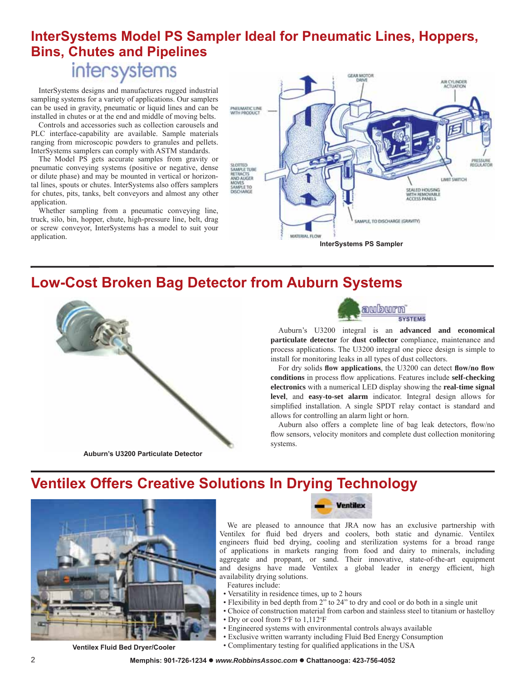### **InterSystems Model PS Sampler Ideal for Pneumatic Lines, Hoppers, Bins, CKutes and Pipelines**

# intersystems

InterSystems designs and manufactures rugged industrial sampling systems for a variety of applications. Our samplers can be used in gravity, pneumatic or liquid lines and can be installed in chutes or at the end and middle of moving belts.

Controls and accessories such as collection carousels and PLC interface-capability are available. Sample materials ranging from microscopic powders to granules and pellets. InterSystems samplers can comply with ASTM standards.

The Model PS gets accurate samples from gravity or pneumatic conveying systems (positive or negative, dense or dilute phase) and may be mounted in vertical or horizontal lines, spouts or chutes. InterSystems also offers samplers for chutes, pits, tanks, belt conveyors and almost any other application.

Whether sampling from a pneumatic conveying line, truck, silo, bin, hopper, chute, high-pressure line, belt, drag or screw conveyor, InterSystems has a model to suit your application.



### **LowCost Broken Bag 'etector from Auburn Systems**



**Auburn¶s 8200 Particulate 'etector**



Auburn's U3200 integral is an **advanced and economical particulate detector** for **dust collector** compliance, maintenance and process applications. The U3200 integral one piece design is simple to install for monitoring leaks in all types of dust collectors.

For dry solids flow applications, the U3200 can detect flow/no flow conditions in process flow applications. Features include self-checking **electronics** with a numerical LED display showing the **real-time signal level**, and **easy-to-set alarm** indicator. Integral design allows for simplified installation. A single SPDT relay contact is standard and allows for controlling an alarm light or horn.

Auburn also offers a complete line of bag leak detectors, flow/no flow sensors, velocity monitors and complete dust collection monitoring systems.

### **Yentilex Offers Creative Solutions In Drying Technology**



**Ventile[ Fluid Bed 'ryerCooler**



We are pleased to announce that JRA now has an exclusive partnership with Ventilex for fluid bed dryers and coolers, both static and dynamic. Ventilex engineers fluid bed drying, cooling and sterilization systems for a broad range of applications in markets ranging from food and dairy to minerals, including aggregate and proppant, or sand. Their innovative, state-of-the-art equipment and designs have made Ventilex a global leader in energy efficient, high availability drying solutions.

- Features include:
- Versatility in residence times, up to 2 hours
- Flexibility in bed depth from 2" to 24" to dry and cool or do both in a single unit
- Choice of construction material from carbon and stainless steel to titanium or hastelloy
- Dry or cool from  $5^{\circ}$ F to  $1,112^{\circ}$ F
- Engineered systems with environmental controls always available
- Exclusive written warranty including Fluid Bed Energy Consumption
- Complimentary testing for qualified applications in the USA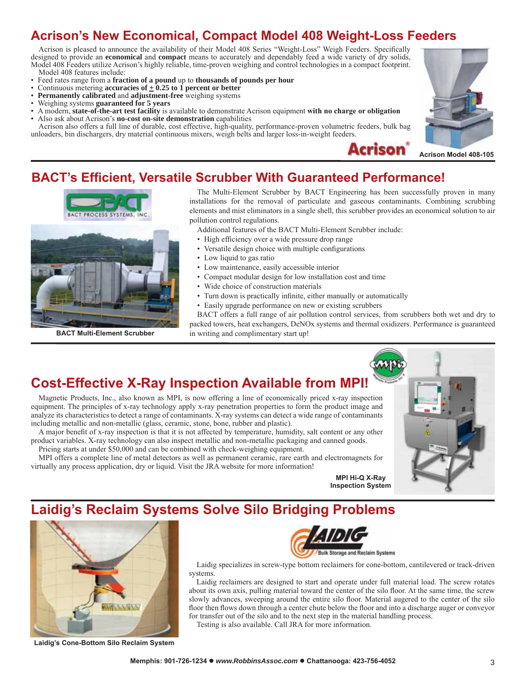### **Acrison's 1ew Economical, Compact Model 0 :eigKt-Loss Feeders**

Acrison is pleased to announce the availability of their Model 408 Series "Weight-Loss" Weigh Feeders. Specifically designed to provide an **economical** and **compact** means to accurately and dependably feed a wide variety of dry solids, Model 408 Feeders utilize Acrison's highly reliable, time-proven weighing and control technologies in a compact footprint. Model 408 features include:

- Feed rates range from a **fraction of a pound** up to **thousands of pounds per hour**
- Continuous metering **accuracies of**  $\pm$  **0.25 to 1 percent or better**<br>• **Permanently calibrated** and **adjustment-free** weighing systems
- **Permanently calibrated** and **adjustment-free** weighing systems
- Weighing systems **guaranteed for 5 years**
- A modern, **state-of-the-art test facility** is available to demonstrate Acrison equipment **with no charge or obligation** Also ask about Acrison's **no-cost on-site demonstration** capabilities

Acrison also offers a full line of durable, cost effective, high-quality, performance-proven volumetric feeders, bulk bag unloaders, bin dischargers, dry material continuous mixers, weigh belts and larger loss-in-weight feeders.





#### **Acrison Model 408-105**

#### **BACT's Efficient, Versatile Scrubber With Guaranteed Performance!**



The Multi-Element Scrubber by BACT Engineering has been successfully proven in many installations for the removal of particulate and gaseous contaminants. Combining scrubbing elements and mist eliminators in a single shell, this scrubber provides an economical solution to air pollution control regulations.

Additional features of the BACT Multi-Element Scrubber include:

- High efficiency over a wide pressure drop range
- Versatile design choice with multiple configurations
- Low liquid to gas ratio
- Low maintenance, easily accessible interior
- Compact modular design for low installation cost and time
- Wide choice of construction materials
- Turn down is practically infinite, either manually or automatically
- Easily upgrade performance on new or existing scrubbers

BACT offers a full range of air pollution control services, from scrubbers both wet and dry to packed towers, heat exchangers,  $DeNOx$  systems and thermal oxidizers. Performance is guaranteed **BACT Multi-Element Scrubber** in writing and complimentary start up!

#### **Cost-EffectiYe ;-Ray Inspection AYailable from MPI**

Magnetic Products, Inc., also known as MPI, is now offering a line of economically priced x-ray inspection equipment. The principles of x-ray technology apply x-ray penetration properties to form the product image and analyze its characteristics to detect a range of contaminants. X-ray systems can detect a wide range of contaminants including metallic and non-metallic (glass, ceramic, stone, bone, rubber and plastic).

A major benefit of x-ray inspection is that it is not affected by temperature, humidity, salt content or any other product variables. X-ray technology can also inspect metallic and non-metallic packaging and canned goods. Pricing starts at under \$50,000 and can be combined with check-weighing equipment.

MPI offers a complete line of metal detectors as well as permanent ceramic, rare earth and electromagnets for virtually any process application, dry or liquid. Visit the JRA website for more information



#### **Laidig¶s Reclaim Systems SolYe Silo Bridging Problems**



**Laidig's Cone-Bottom Silo Reclaim System**



Laidig specializes in screw-type bottom reclaimers for cone-bottom, cantilevered or track-driven systems.

Laidig reclaimers are designed to start and operate under full material load. The screw rotates about its own axis, pulling material toward the center of the silo floor. At the same time, the screw slowly advances, sweeping around the entire silo floor. Material augered to the center of the silo floor then flows down through a center chute below the floor and into a discharge auger or conveyor for transfer out of the silo and to the next step in the material handling process.

Testing is also available. Call JRA for more information.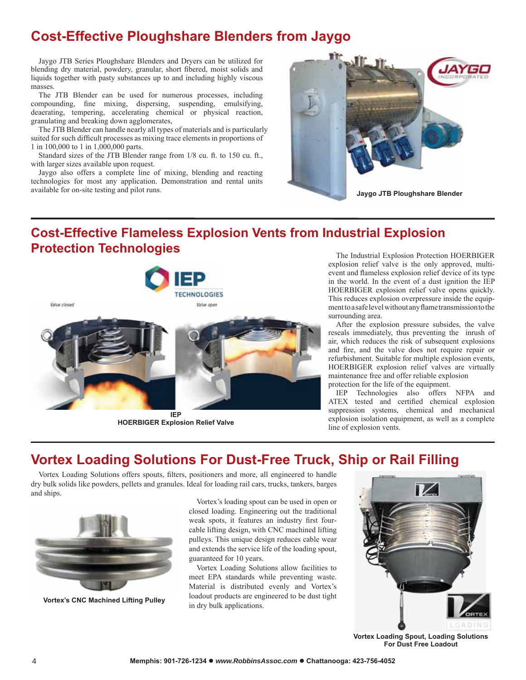### **Cost-Effective Ploughshare Blenders from Jaygo**

Jaygo JTB Series Ploughshare Blenders and Dryers can be utilized for blending dry material, powdery, granular, short fibered, moist solids and liquids together with pasty substances up to and including highly viscous masses.

The JTB Blender can be used for numerous processes, including compounding, fine mixing, dispersing, suspending, emulsifying, deaerating, tempering, accelerating chemical or physical reaction, granulating and breaking down agglomerates,

The JTB Blender can handle nearly all types of materials and is particularly suited for such difficult processes as mixing trace elements in proportions of 1 in 100,000 to 1 in 1,000,000 parts.

Standard sizes of the JTB Blender range from 1/8 cu. ft. to 150 cu. ft., with larger sizes available upon request.

Jaygo also offers a complete line of mixing, blending and reacting technologies for most any application. Demonstration and rental units available for on-site testing and pilot runs.



### **Cost-EffectiYe Flameless Explosion Vents from Industrial Explosion Protection Technologies**<br>The Industrial Explosion Protection HOERBIGER



**H2ERBI\*ER Explosion Relief ValYe**

explosion relief valve is the only approved, multievent and flameless explosion relief device of its type in the world. In the event of a dust ignition the IEP HOERBIGER explosion relief valve opens quickly. This reduces explosion overpressure inside the equipment to a safe level without any flame transmission to the surrounding area.

After the explosion pressure subsides, the valve reseals immediately, thus preventing the inrush of air, which reduces the risk of subsequent explosions and fire, and the valve does not require repair or refurbishment. Suitable for multiple explosion events, HOERBIGER explosion relief valves are virtually maintenance free and offer reliable explosion protection for the life of the equipment.

IEP Technologies also offers NFPA and ATEX tested and certified chemical explosion suppression systems, chemical and mechanical explosion isolation equipment, as well as a complete line of explosion vents.

### **Vortex Loading Solutions For Dust-Free Truck, Ship or Rail Filling**

Vortex Loading Solutions offers spouts, filters, positioners and more, all engineered to handle dry bulk solids like powders, pellets and granules. Ideal for loading rail cars, trucks, tankers, barges and ships.



**Vortex's C1C MacKined Lifting Pulley**

Vortex's loading spout can be used in open or closed loading. Engineering out the traditional weak spots, it features an industry first fourcable lifting design, with CNC machined lifting pulleys. This unique design reduces cable wear and extends the service life of the loading spout, guaranteed for 10 years.

Vortex Loading Solutions allow facilities to meet EPA standards while preventing waste. Material is distributed evenly and Vortex's loadout products are engineered to be dust tight in dry bulk applications.



**Vortex Loading Spout, Loading Solutions For 'ust Free Loadout**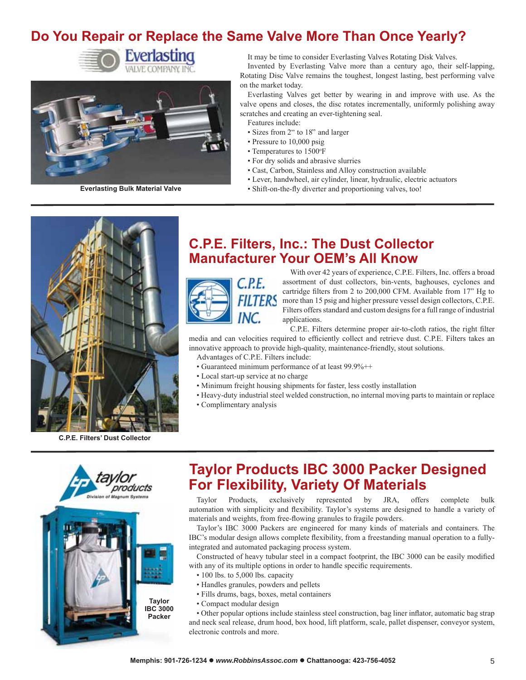### **Do You Repair or Replace the Same Valve More Than Once Yearly?**





It may be time to consider Everlasting Valves Rotating Disk Valves.

Invented by Everlasting Valve more than a century ago, their self-lapping, Rotating Disc Valve remains the toughest, longest lasting, best performing valve on the market today.

Everlasting Valves get better by wearing in and improve with use. As the valve opens and closes, the disc rotates incrementally, uniformly polishing away scratches and creating an ever-tightening seal.

- Features include:
- Sizes from 2" to 18" and larger
- Pressure to 10,000 psig
- Temperatures to 1500°F
- For dry solids and abrasive slurries
- Cast, Carbon, Stainless and Alloy construction available
- Lever, handwheel, air cylinder, linear, hydraulic, electric actuators
- **Everlasting Bulk Material Valve Calculation C** Shift-on-the-fly diverter and proportioning valves, too!



**C.P.E. Filters' 'ust Collector**

#### **C.P.E. Filters, Inc.: TKe 'ust Collector Manufacturer Your OEM's All Know**



With over 42 years of experience, C.P.E. Filters, Inc. offers a broad assortment of dust collectors, bin-vents, baghouses, cyclones and cartridge filters from 2 to 200,000 CFM. Available from  $17$ <sup>"</sup> Hg to more than 15 psig and higher pressure vessel design collectors, C.P.E. Filters offers standard and custom designs for a full range of industrial applications.

C.P.E. Filters determine proper air-to-cloth ratios, the right filter media and can velocities required to efficiently collect and retrieve dust. C.P.E. Filters takes an innovative approach to provide high-quality, maintenance-friendly, stout solutions.

- Advantages of C.P.E. Filters include:
- Guaranteed minimum performance of at least 99.9%++
- Local start-up service at no charge
- Minimum freight housing shipments for faster, less costly installation
- Heavy-duty industrial steel welded construction, no internal moving parts to maintain or replace
- Complimentary analysis



### **Taylor Products IBC 000 Packer 'esigned For Flexibility, Variety Of Materials**

Taylor Products, exclusively represented by JRA, offers complete bulk automation with simplicity and flexibility. Taylor's systems are designed to handle a variety of materials and weights, from free-flowing granules to fragile powders.

Taylor's IBC 000 Packers are engineered for many kinds of materials and containers. The IBC's modular design allows complete flexibility, from a freestanding manual operation to a fullyintegrated and automated packaging process system.

Constructed of heavy tubular steel in a compact footprint, the IBC 3000 can be easily modified with any of its multiple options in order to handle specific requirements.

- $\cdot$  100 lbs. to 5,000 lbs. capacity
- Handles granules, powders and pellets
- Fills drums, bags, boxes, metal containers
- Compact modular design

• Other popular options include stainless steel construction, bag liner inflator, automatic bag strap and neck seal release, drum hood, box hood, lift platform, scale, pallet dispenser, conveyor system, electronic controls and more.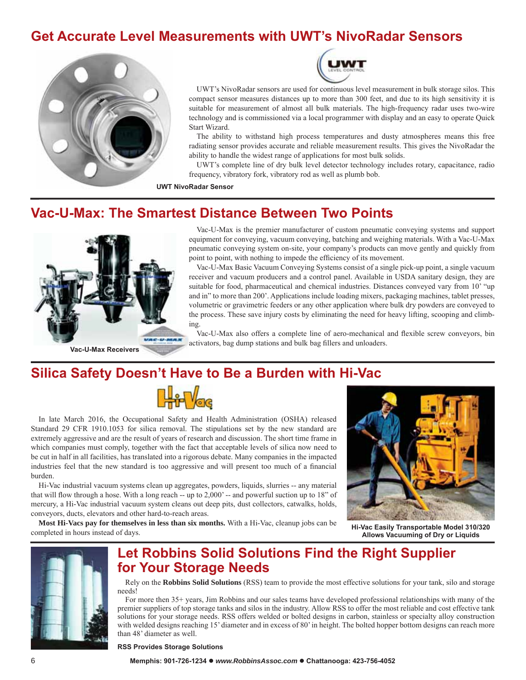### **\*et Accurate LeYel Measurements witK 8:T's 1iYoRadar Sensors**





UWT's NivoRadar sensors are used for continuous level measurement in bulk storage silos. This compact sensor measures distances up to more than 300 feet, and due to its high sensitivity it is suitable for measurement of almost all bulk materials. The high-frequency radar uses two-wire technology and is commissioned via a local programmer with display and an easy to operate Quick Start Wizard.

The ability to withstand high process temperatures and dusty atmospheres means this free radiating sensor provides accurate and reliable measurement results. This gives the NivoRadar the ability to handle the widest range of applications for most bulk solids.

UWT's complete line of dry bulk level detector technology includes rotary, capacitance, radio frequency, vibratory fork, vibratory rod as well as plumb bob.

**8:T NiYoRadar Sensor**

#### **Vac-8-Max: TKe Smartest 'istance Between Two Points**



**Vac-8-Max ReceiYers**

Vac-U-Max is the premier manufacturer of custom pneumatic conveying systems and support equipment for conveying, vacuum conveying, batching and weighing materials. With a Vac-U-Max pneumatic conveying system on-site, your company's products can move gently and quickly from point to point, with nothing to impede the efficiency of its movement.

Vac-U-Max Basic Vacuum Conveying Systems consist of a single pick-up point, a single vacuum receiver and vacuum producers and a control panel. Available in USDA sanitary design, they are suitable for food, pharmaceutical and chemical industries. Distances conveyed vary from 10' "up and in" to more than 200'. Applications include loading mixers, packaging machines, tablet presses, volumetric or gravimetric feeders or any other application where bulk dry powders are conveyed to the process. These save injury costs by eliminating the need for heavy lifting, scooping and climbing.

Vac-U-Max also offers a complete line of aero-mechanical and flexible screw conveyors, bin activators, bag dump stations and bulk bag fillers and unloaders.

#### **Silica Safety 'oesn't HaYe to Be a Burden witK Hi-Vac**



In late March 2016, the Occupational Safety and Health Administration (OSHA) released Standard 29 CFR 1910.1053 for silica removal. The stipulations set by the new standard are extremely aggressive and are the result of years of research and discussion. The short time frame in which companies must comply, together with the fact that acceptable levels of silica now need to be cut in half in all facilities, has translated into a rigorous debate. Many companies in the impacted industries feel that the new standard is too aggressive and will present too much of a financial burden.

Hi-Vac industrial vacuum systems clean up aggregates, powders, liquids, slurries -- any material that will flow through a hose. With a long reach  $-$  up to 2,000'  $-$  and powerful suction up to 18" of mercury, a Hi-Vac industrial vacuum system cleans out deep pits, dust collectors, catwalks, holds, conveyors, ducts, elevators and other hard-to-reach areas.

**Most Hi-Vacs pay for themselves in less than six months.** With a Hi-Vac, cleanup jobs can be completed in hours instead of days.



**Hi-Vac Easily Transportable Model 310320 Allows Vacuuming of 'ry or Liquids**



#### **Let Robbins Solid Solutions Find the Right Supplier for Your Storage Needs**

Rely on the **Robbins Solid Solutions** (RSS) team to provide the most effective solutions for your tank, silo and storage needs

For more then 35+ years, Jim Robbins and our sales teams have developed professional relationships with many of the premier suppliers of top storage tanks and silos in the industry. Allow RSS to offer the most reliable and cost effective tank solutions for your storage needs. RSS offers welded or bolted designs in carbon, stainless or specialty alloy construction with welded designs reaching 15' diameter and in excess of 80' in height. The bolted hopper bottom designs can reach more than 48' diameter as well.

**RSS ProYides Storage Solutions**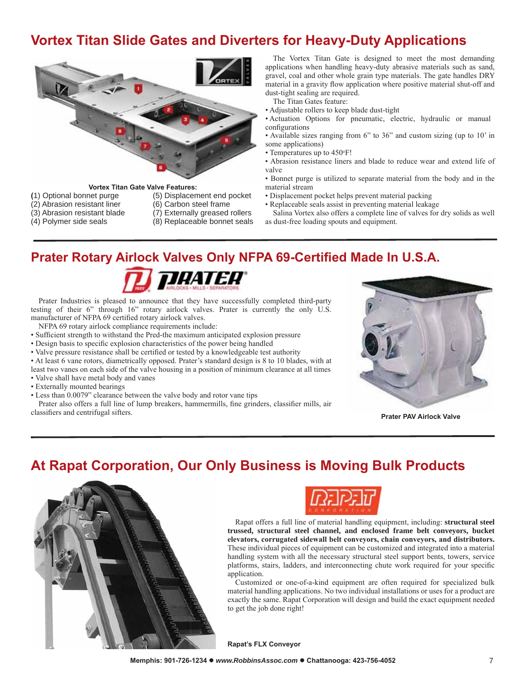### **Yortex Titan Slide Gates and Diverters for Heavy-Duty Applications**



- **Vortex Titan Gate Valve Features:**<br>(1) Optional bonnet purge (5) Displacem
- $(2)$  Abrasion resistant liner
- -
- (5) Displacement end pocket (6) Carbon steel frame
- 
- (3) Abrasion resistant blade (7) Externally greased rollers<br>(4) Polymer side seals (8) Replaceable bonnet seals
	- (8) Replaceable bonnet seals

The Vortex Titan Gate is designed to meet the most demanding applications when handling heavy-duty abrasive materials such as sand, gravel, coal and other whole grain type materials. The gate handles DRY material in a gravity flow application where positive material shut-off and dust-tight sealing are required.

The Titan Gates feature:

Adjustable rollers to keep blade dust-tight

 Actuation Options for pneumatic, electric, hydraulic or manual configurations

• Available sizes ranging from  $6$ " to  $36$ " and custom sizing (up to  $10'$  in some applications)

• Temperatures up to 450°F!

 Abrasion resistance liners and blade to reduce wear and extend life of valve

• Bonnet purge is utilized to separate material from the body and in the material stream

- Displacement pocket helps prevent material packing
- Replaceable seals assist in preventing material leakage

Salina Vortex also offers a complete line of valves for dry solids as well as dust-free loading spouts and equipment.

#### **Prater Rotary Airlock Valves Only NFPA 69-Certified Made In U.S.A.**



Prater Industries is pleased to announce that they have successfully completed third-party testing of their  $6'$  through 1 $6''$  rotary airlock valves. Prater is currently the only U.S. manufacturer of NFPA 69 certified rotary airlock valves.

NFPA 69 rotary airlock compliance requirements include:

- Sufficient strength to withstand the Pred-the maximum anticipated explosion pressure
- Design basis to specific explosion characteristics of the power being handled
- Valve pressure resistance shall be certified or tested by a knowledgeable test authority

• At least 6 vane rotors, diametrically opposed. Prater's standard design is 8 to 10 blades, with at

least two vanes on each side of the valve housing in a position of minimum clearance at all times Valve shall have metal body and vanes

- Externally mounted bearings
- Less than 0.0079´ clearance between the valve body and rotor vane tips

Prater also offers a full line of lump breakers, hammermills, fine grinders, classifier mills, air **Prater PAV Airlock Valve** Prater PAV Airlock Valve



#### **At Rapat Corporation, Our Only Business is MoYing Bulk Products**





Rapat offers a full line of material handling equipment, including: **structural steel trussed, structural steel channel, and enclosed frame belt conveyors, bucket** elevators, corrugated sidewall belt conveyors, chain conveyors, and distributors. These individual pieces of equipment can be customized and integrated into a material handling system with all the necessary structural steel support bents, towers, service platforms, stairs, ladders, and interconnecting chute work required for your specific application.

Customized or one-of-a-kind equipment are often required for specialized bulk material handling applications. No two individual installations or uses for a product are exactly the same. Rapat Corporation will design and build the exact equipment needed to get the job done right

**Rapat's FL; ConYeyor**